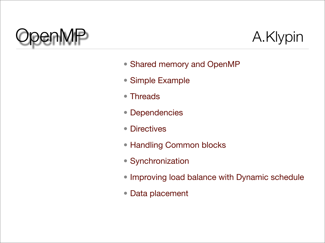



- Shared memory and OpenMP
- Simple Example
- Threads
- Dependencies
- Directives
- Handling Common blocks
- Synchronization
- Improving load balance with Dynamic schedule
- Data placement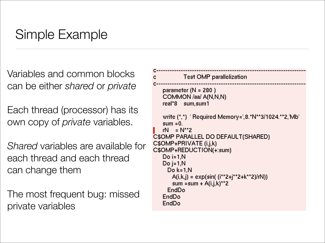# Simple Example

Variables and common blocks can be either *shared* or *private*

Each thread (processor) has its own copy of *private* variables.

*Shared* variables are available for each thread and each thread can change them

The most frequent bug: missed private variables

```
Test OMP parallelization
   parameter (N = 280)COMMON /aa/ A(N,N,N)
   real*8 sum, sum 1
   write (*,*) ' Required Memory=',8.*N**3/1024.**2,'Mb'
   sum = 0.
   rN = N^{**}2C$OMP PARALLEL DO DEFAULT(SHARED)
C$OMP+PRIVATE (i,j,k)
C$OMP+REDUCTION(+:sum)
   Do i=1. NDo i=1, NDo k = 1.N
      A(i,k,j) = exp(sin((i**2+j**2+k**2)/rN))sum = sum + A(i,j,k)**2
     EndDo
   EndDo
   EndDo
```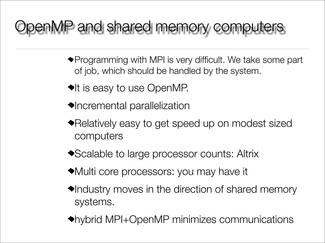# penMP and shared memory computers

- Programming with MPI is very difficult. We take some part of job, which should be handled by the system.
- $\blacktriangleright$ It is easy to use OpenMP.
- $\blacklozenge$ Incremental parallelization
- Relatively easy to get speed up on modest sized computers
- ◆ Scalable to large processor counts: Altrix
- Multi core processors: you may have it
- $\blacklozenge$ Industry moves in the direction of shared memory systems.
- hybrid MPI+OpenMP minimizes communications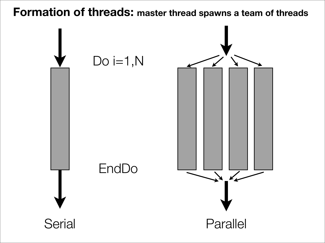**Formation of threads: master thread spawns a team of threads**

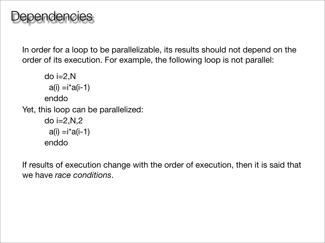In order for a loop to be parallelizable, its results should not depend on the order of its execution. For example, the following loop is not parallel:

```
do i=2,Na(i) = i * a(i-1)enddo
Yet, this loop can be parallelized:
      do i=2, N, 2a(i) = i * a(i-1)enddo
```
If results of execution change with the order of execution, then it is said that we have *race conditions*.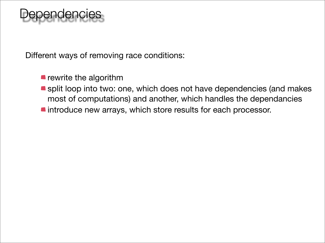# ependencies

Different ways of removing race conditions:

- **P** rewrite the algorithm
- split loop into two: one, which does not have dependencies (and makes most of computations) and another, which handles the dependancies
- **n** introduce new arrays, which store results for each processor.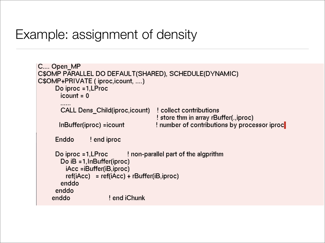### Example: assignment of density

```
C.... Open MP
C$OMP PARALLEL DO DEFAULT(SHARED), SCHEDULE(DYNAMIC)
C$OMP+PRIVATE (iproc, icount, ....)
     Do iproc = 1, LProc
       icount = 0CALL Dens_Child(iproc,icount)
                                      collect contributions
                                      ! store thm in array rBuffer(., iproc)
      InBuffer(iproc) =icount
                                      ! number of contributions by processor iproc
     Enddo
               end iproc!
     Do iproc = 1, LProc : let lead the number of the algorithm
       Do iB = 1, InBuffer(iproc)
        iAcc =iBuffer(iB,iproc)
        ref(iAcc) = ref(iAcc) + rBuffer(iB,iproc)enddo
     enddo
                      ! end iChunk
    enddo
```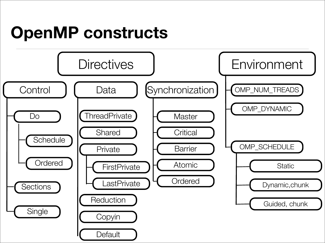# **OpenMP constructs**

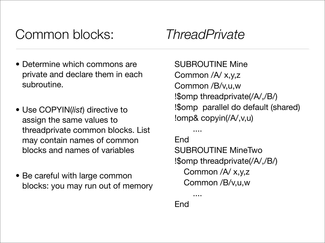# Common blocks: *ThreadPrivate*

- Determine which commons are private and declare them in each subroutine.
- Use COPYIN(*list*) directive to assign the same values to threadprivate common blocks. List may contain names of common blocks and names of variables
- Be careful with large common blocks: you may run out of memory

SUBROUTINE Mine Common /A/ x,y,z Common /B/v,u,w !\$omp threadprivate(/A/,/B/) !\$omp parallel do default (shared) !omp& copyin(/A/,v,u)

End SUBROUTINE MineTwo !\$omp threadprivate(/A/,/B/) Common /A/ x,y,z Common /B/v,u,w

**End** 

....

....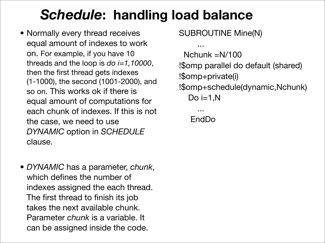# *Schedule***: handling load balance**

- Normally every thread receives equal amount of indexes to work on. For example, if you have 10 threads and the loop is *do i=1,10000*, then the first thread gets indexes (1-1000), the second (1001-2000), and so on. This works ok if there is equal amount of computations for each chunk of indexes. If this is not the case, we need to use *DYNAMIC* option in *SCHEDULE* clause.
- *DYNAMIC* has a parameter, *chunk*, which defines the number of indexes assigned the each thread. The first thread to finish its job takes the next available chunk. Parameter *chunk* is a variable. It can be assigned inside the code.

SUBROUTINE Mine(N)

 ... Nchunk =N/100 !\$omp parallel do default (shared) !\$omp+private(i) !\$omp+schedule(dynamic,Nchunk) Do i= $1, N$ 

 ... EndDo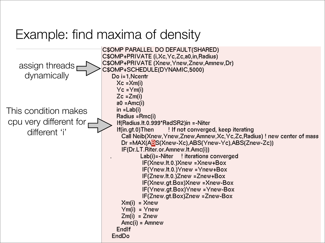### Example: find maxima of density

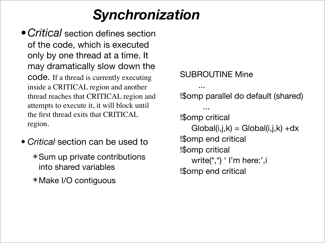# *Synchronization*

- •*Critical* section defines section of the code, which is executed only by one thread at a time. It may dramatically slow down the code. If a thread is currently executing inside a CRITICAL region and another thread reaches that CRITICAL region and attempts to execute it, it will block until the first thread exits that CRITICAL region.
- *Critical* section can be used to ✴Sum up private contributions into shared variables ✴Make I/O contiguous

```
SUBROUTINE Mine
 ...
!$omp parallel do default (shared)
 ...
!$omp critical
   Global(i,j,k) = Global(i,j,k) + dx!$omp end critical
!$omp critical
   write(*,*) ' I'm here:', i
!$omp end critical
```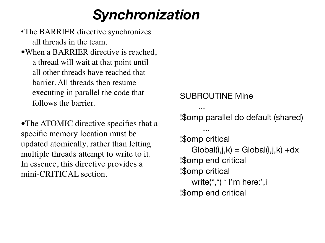# *Synchronization*

- •The BARRIER directive synchronizes all threads in the team.
- •When a BARRIER directive is reached, a thread will wait at that point until all other threads have reached that barrier. All threads then resume executing in parallel the code that follows the barrier.

•The ATOMIC directive specifies that a specific memory location must be updated atomically, rather than letting multiple threads attempt to write to it. In essence, this directive provides a mini-CRITICAL section.

SUBROUTINE Mine

...

!\$omp parallel do default (shared)

```
 ...
!$omp critical
   Global(i,j,k) = Global(i,j,k) + dx!$omp end critical
!$omp critical
   write(*,*) ' I'm here:', i
!$omp end critical
```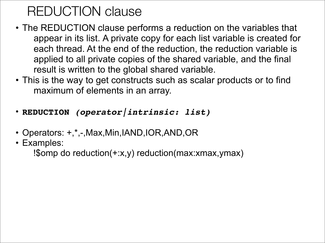# REDUCTION clause

- The REDUCTION clause performs a reduction on the variables that appear in its list. A private copy for each list variable is created for each thread. At the end of the reduction, the reduction variable is applied to all private copies of the shared variable, and the final result is written to the global shared variable.
- This is the way to get constructs such as scalar products or to find maximum of elements in an array.
- **REDUCTION** *(operator|intrinsic: list)*
- Operators: +,\*,-,Max,Min,IAND,IOR,AND,OR
- Examples:

!\$omp do reduction(+:x,y) reduction(max:xmax,ymax)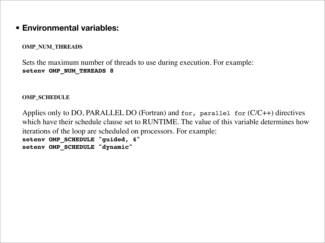#### • **Environmental variables:**

**OMP\_NUM\_THREADS**

Sets the maximum number of threads to use during execution. For example: **setenv OMP\_NUM\_THREADS 8**

**OMP\_SCHEDULE**

Applies only to DO, PARALLEL DO (Fortran) and for, parallel for (C/C++) directives which have their schedule clause set to RUNTIME. The value of this variable determines how iterations of the loop are scheduled on processors. For example: **setenv OMP\_SCHEDULE "guided, 4" setenv OMP\_SCHEDULE "dynamic"**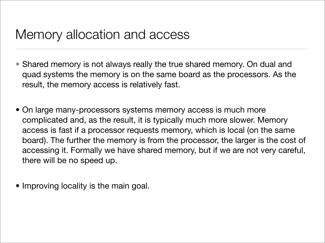#### Memory allocation and access

- Shared memory is not always really the true shared memory. On dual and quad systems the memory is on the same board as the processors. As the result, the memory access is relatively fast.
- On large many-processors systems memory access is much more complicated and, as the result, it is typically much more slower. Memory access is fast if a processor requests memory, which is local (on the same board). The further the memory is from the processor, the larger is the cost of accessing it. Formally we have shared memory, but if we are not very careful, there will be no speed up.
- Improving locality is the main goal.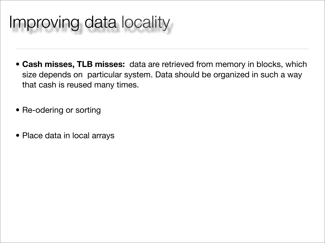# Improving data locality

- **Cash misses, TLB misses:** data are retrieved from memory in blocks, which size depends on particular system. Data should be organized in such a way that cash is reused many times.
- Re-odering or sorting
- Place data in local arrays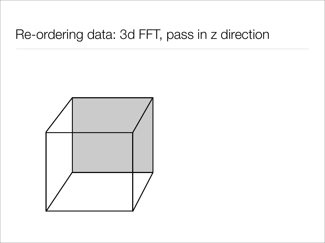#### Re-ordering data: 3d FFT, pass in z direction

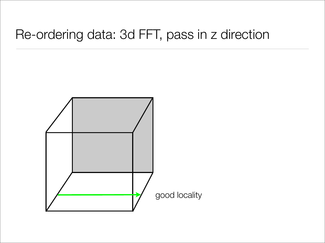#### Re-ordering data: 3d FFT, pass in z direction

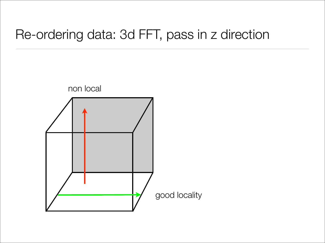### Re-ordering data: 3d FFT, pass in z direction

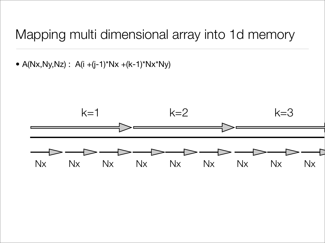#### Mapping multi dimensional array into 1d memory

•  $A(Nx,Ny,Nz)$ :  $A(i+(j-1)*Nx+(k-1)*Nx*Ny)$ 

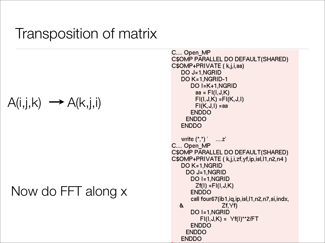## Transposition of matrix

$$
A(i,j,k) \longrightarrow A(k,j,i)
$$

#### Now do FFT along x

```
C.... Open MP
C$OMP PARALLEL DO DEFAULT(SHARED)
C$OMP+PRIVATE ( k,j,i,aa)
   DO J=1, NGRID
   DO K=1, NGRID-1
       DO I=K+1, NGRID
        aa = Fl(I, J, K)FI(I,J,K)=FI(K,J,I)FI(K, J, I) = aaENDDO
     ENDDO
   ENDDO
   write ({}^{\star},{}^{\star}) ^{\circ} .... z'
C.... Open_MP
C$OMP PARALLEL DO DEFAULT(SHARED)
C$OMP+PRIVATE (k,j,i,zf,yf,ip,isl,l1,n2,n4)
   DO K=1, NGRID
     DO J=1, NGRID
       DO I=1,NGRID
        Zf(I) = FI(I, J, K)ENDDO
       call four67(ib1,iq,ip,isl,l1,n2,n7,si,indx,
  &
                  Zf, YfDO I=1, NGRID
          FI(I, J, K) = Yf(I) *2/FTENDDO
     ENDDO
   ENDDO
```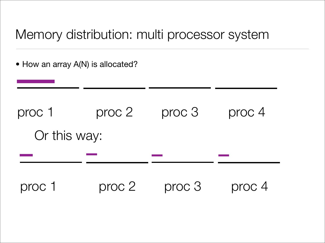### Memory distribution: multi processor system

• How an array A(N) is allocated?

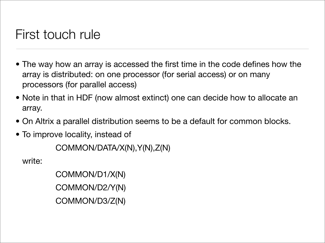### First touch rule

- The way how an array is accessed the first time in the code defines how the array is distributed: on one processor (for serial access) or on many processors (for parallel access)
- Note in that in HDF (now almost extinct) one can decide how to allocate an array.
- On Altrix a parallel distribution seems to be a default for common blocks.
- To improve locality, instead of

COMMON/DATA/X(N),Y(N),Z(N)

write:

COMMON/D1/X(N) COMMON/D2/Y(N) COMMON/D3/Z(N)